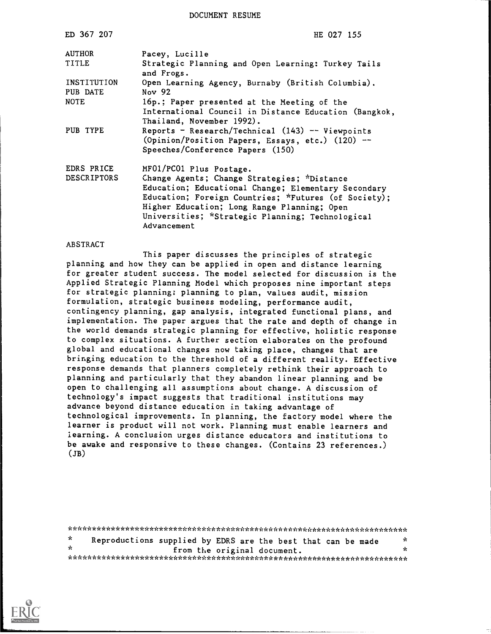DOCUMENT RESUME

| ED 367 207                       | HE 027 155                                                                                                                                                                                                                                                                                              |
|----------------------------------|---------------------------------------------------------------------------------------------------------------------------------------------------------------------------------------------------------------------------------------------------------------------------------------------------------|
| AUTHOR                           | Pacey, Lucille                                                                                                                                                                                                                                                                                          |
| TITLE                            | Strategic Planning and Open Learning: Turkey Tails<br>and Frogs.                                                                                                                                                                                                                                        |
| INSTITUTION<br>PUB DATE          | Open Learning Agency, Burnaby (British Columbia).<br>Nov 92                                                                                                                                                                                                                                             |
| <b>NOTE</b>                      | 16p.; Paper presented at the Meeting of the<br>International Council in Distance Education (Bangkok,<br>Thailand, November 1992).                                                                                                                                                                       |
| PUB TYPE                         | Reports - Research/Technical $(143)$ -- Viewpoints<br>(Opinion/Position Papers, Essays, etc.) (120) --<br>Speeches/Conference Papers (150)                                                                                                                                                              |
| EDRS PRICE<br><b>DESCRIPTORS</b> | MF01/PC01 Plus Postage.<br>Change Agents; Change Strategies; *Distance<br>Education; Educational Change; Elementary Secondary<br>Education; Foreign Countries; *Futures (of Society);<br>Higher Education; Long Range Planning; Open<br>Universities; *Strategic Planning; Technological<br>Advancement |

#### ABSTRACT

This paper discusses the principles of strategic planning and how they can be applied in open and distance learning for greater student success. The model selected for discussion is the Applied Strategic Planning Model which proposes nine important steps for strategic planning: planning to plan, values audit, mission formulation, strategic business modeling, performance audit, contingency planning, gap analysis, integrated functional plans, and implementation. The paper argues that the rate and depth of change in the world demands strategic planning for effective, holistic response to complex situations. A further section elaborates on the profound global and educational changes now taking place, changes that are bringing education to the threshold of a different reality. Effective response demands that planners completely rethink their approach to planning and particularly that they abandon linear planning and be open to challenging all assumptions about change. A discussion of technology's impact suggests that traditional institutions may advance beyond distance education in taking advantage of technological improvements. In planning, the factory model where the learner is product will not work. Planning must enable learners and learning. A conclusion urges distance educators and institutions to be awake and responsive to these changes. (Contains 23 references.)  $(JB)$ 

\*\*\*\*\*\*\*\*\*\*\*\*\*\*\*\*\*\*\*\*\*\*\*\*\*\*\*\*\*\*\*\*\*\*\*\*\*\*\*\*\*\*\*\*\*\*\*\*\*\*\*\*\*\*\*\*\*\*\*\*\*\*\*\*\*\*\*\*\*\*\* ή¢. Reproductions supplied by EDRS are the best that can be made from the original document. \*\*\*\*\*\*\*\*\*\*\*\*\*\*\*\*\*\*\*\*\*\*\*\*\*\*\*\*\*\*\*\*\*\*\*\*\*\*\*\*\*\*\*\*\*\*\*\*\*\*\*\*\*\*\*\*\*\*\*\*\*\*\*\*\*\*\*\*\*\*\*

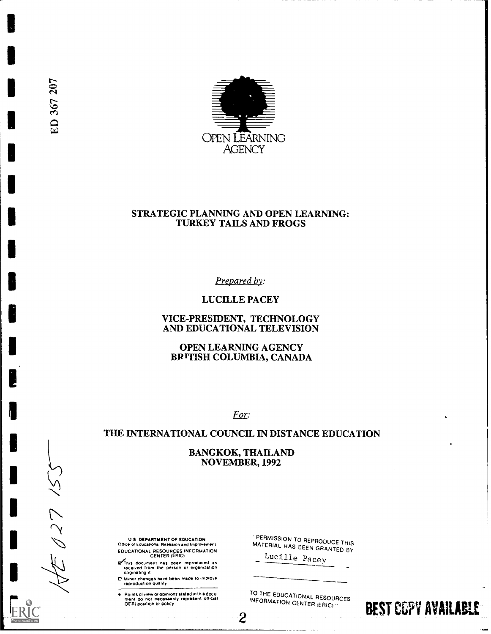

### STRATEGIC PLANNING AND OPEN LEARNING: TURKEY TAILS AND FROGS

Prepared by:

LUCILLE PACEY

# VICE-PRESIDENT, TECHNOLOGY AND EDUCATIONAL TELEVISION

OPEN LEARNING AGENCY BRITISH COLUMBIA, CANADA

For:

# THE INTERNATIONAL COUNCIL IN DISTANCE EDUCATION

BANGKOK, THAILAND NOVEMBER, 1992

 $\overline{c}$ 

U S DEPARTMENT OF EDUCATION Office Of Educational Research and Impro+ernent EDUCATIONAL RESOURCES INFORMATION CENTER (ERIC)

g fhis document has been reproduced as<br>- received from the person or organization<br>- originating it

⊡ Minor changes have been made to improve.<br>- reproduction quality

Points of view or opinions stated in this docu<br>ment: do: not: necessarily: represent: official<br>OERI position or policy

PERMISSION TO REPRODUCE THIS MATERIAL HAS BEEN GRANTED BY

Lucille Pacev

TO THE EDUCATIONAL RESOURCES<br>INFORMATION CENTER (ERIC)

BEST COPY AVAILABLE

ED 367 207

レンン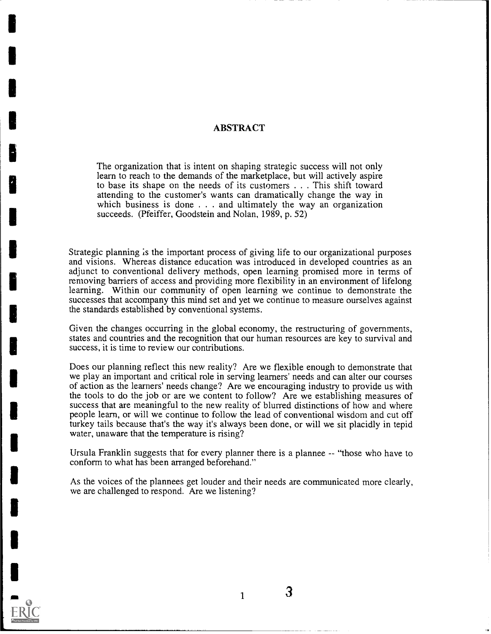# ABSTRACT

The organization that is intent on shaping strategic success will not only learn to reach to the demands of the marketplace, but will actively aspire to base its shape on the needs of its customers . . .This shift toward attending to the customer's wants can dramatically change the way in which business is done . . . and ultimately the way an organization succeeds. (Pfeiffer, Goodstein and Nolan, 1989, p. 52)

Strategic planning is the important process of giving life to our organizational purposes and visions. Whereas distance education was introduced in developed countries as an adjunct to conventional delivery methods, open learning promised more in terms of removing barriers of access and providing more flexibility in an environment of lifelong learning. Within our community of open iearning we continue to demonstrate the successes that accompany this mind set and yet we continue to measure ourselves against the standards established by conventional systems.

Given the changes occurring in the global economy, the restructuring of governments, states and countries and the recognition that our human resources are key to survival and success, it is time to review our contributions.

Does our planning reflect this new reality? Are we flexible enough to demonstrate that we play an important and critical role in serving learners' needs and can alter our courses of action as the learners' needs change? Are we encouraging industry to provide us with the tools to do the job or are we content to follow? Are we establishing measures of success that are meaningful to the new reality of blurred distinctions of how and where people learn, or will we continue to follow the lead of conventional wisdom and cut off turkey tails because that's the way it's always been done, or will we sit placidly in tepid water, unaware that the temperature is rising?

Ursula Franklin suggests that for every planner there is a plannee -- "those who have to conform to what has been arranged beforehand."

As the voices of the plannees get louder and their needs are communicated more clearly, we are challenged to respond. Are we listening?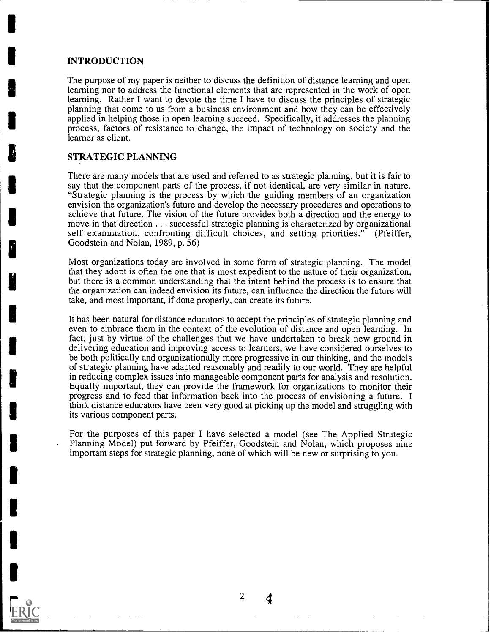#### INTRODUCTION

The purpose of my paper is neither to discuss the definition of distance learning and open learning nor to address the functional elements that are represented in the work of open learning. Rather I want to devote the time I have to discuss the principles of strategic planning that come to us from a business environment and how they can be effectively applied in helping those in open learning succeed. Specifically, it addresses the planning process, factors of resistance to change, the impact of technology on society and the learner as client.

# STRATEGIC PLANNING

There are many models that are used and referred to as strategic planning, but it is fair to say that the component parts of the process, if not identical, are very similar in nature. "Strategic planning is the process by which the guiding members of an organization envision the organization's future and develop the necessary procedures and operations to achieve that future. The vision of the future provides both a direction and the energy to move in that direction . . . successful strategic planning is characterized by organizational self examination, confronting difficult choices, and setting priorities." (Pfeiffer, Goodstein and Nolan, 1989, p. 56)

Most organizations today are involved in some form of strategic planning. The model that they adopt is often the one that is most expedient to the nature of their organization, but there is a common understanding that the intent behind the process is to ensure that the organization can indeed envision its future, can influence the direction the future will take, and most important, if done properly, can create its future.

It has been natural for distance educators to accept the principles of strategic planning and even to embrace them in the context of the evolution of distance and open learning. In fact, just by virtue of the challenges that we have undertaken to break new ground in delivering education and improving access to learners, we have considered ourselves to be both politically and organizationally more progressive in our thinking, and the models of strategic planning have adapted reasonably and readily to our world. They are helpful in reducing complex issues into manageable component parts for analysis and resolution. Equally important, they can provide the framework for organizations to monitor their progress and to feed that information back into the process of envisioning a future. I think distance educators have been very good at picking up the model and struggling with its various component parts.

For the purposes of this paper I have selected a model (see The Applied Strategic Planning Model) put forward by Pfeiffer, Goodstein and Nolan, which proposes nine important steps for strategic planning, none of which will be new or surprising to you.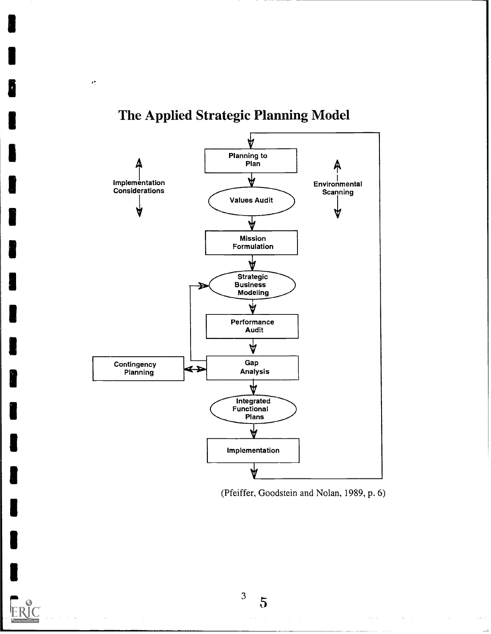

# The Applied Strategic Planning Model

 $\epsilon^{\mu}_{\nu}$ 



 $\bar{z}$  ,  $\bar{z}$ 

3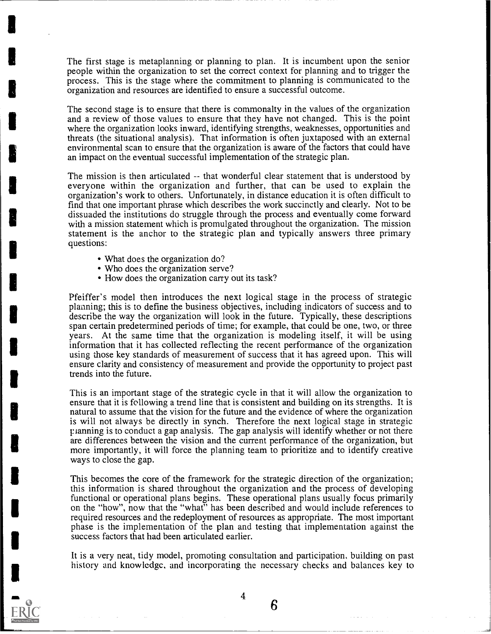The first stage is metaplanning or planning to plan. It is incumbent upon the senior people within the organization to set the correct context for planning and to trigger the process. This is the stage where the commitment to planning is communicated to the organization and resources are identified to ensure a successful outcome.

The second stage is to ensure that there is commonalty in the values of the organization and a review of those values to ensure that they have not changed. This is the point where the organization looks inward, identifying strengths, weaknesses, opportunities and threats (the situational analysis). That information is often juxtaposed with an external environmental scan to ensure that the organization is aware of the factors that could have an impact on the eventual successful implementation of the strategic plan.

The mission is then articulated -- that wonderful clear statement that is understood by everyone within the organization and further, that can be used to explain the organization's work to others. Unfortunately, in distance education it is often difficult to find that one important phrase which describes the work succinctly and clearly. Not to be dissuaded the institutions do struggle through the process and eventually come forward with a mission statement which is promulgated throughout the organization. The mission statement is the anchor to the strategic plan and typically answers three primary questions:

- What does the organization do?
- Who does the organization serve?
- How does the organization carry out its task?

Pfeiffer's model then introduces the next logical stage in the process of strategic planning; this is to define the business objectives, including indicators of success and to describe the way the organization will look in the future. Typically, these descriptions span certain predetermined periods of time; for example, that could be one, two, or three years. At the same time that the organization is modeling itself, it will be using information that it has collected reflecting the recent performance of the organization using those key standards of measurement of success that it has agreed upon. This will ensure clarity and consistency of measurement and provide the opportunity to project past trends into the future.

This is an important stage of the strategic cycle in that it will allow the organization to ensure that it is following a trend line that is consistent and building on its strengths. It is natural to assume that the vision for the future and the evidence of where the organization is will not always be directly in synch. Therefore the next logical stage in strategic r ianning is to conduct a gap analysis. The gap analysis will identify whether or not there are differences between the vision and the current performance of the organization, but more importantly, it will force the planning team to prioritize and to identify creative ways to close the gap.

This becomes the core of the framework for the strategic direction of the organization; this information is shared throughout the organization and the process of developing functional or operational plans begins. These operational plans usually focus primarily on the "how", now that the "what" has been described and would include references to required resources and the redeployment of resources as appropriate. The most important phase is the implementation of the plan and testing that implementation against the success factors that had been articulated earlier.

It is a very neat, tidy model, promoting consultation and participation, building on past history and knowledge, and incorporating the necessary checks and balances key to

4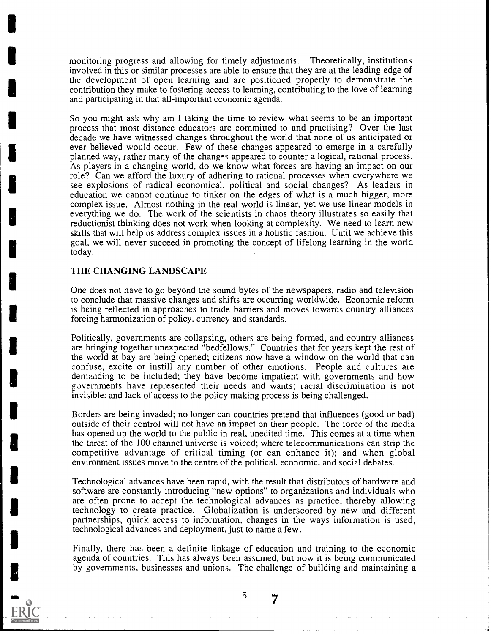monitoring progress and allowing for timely adjustments. Theoretically, institutions involved in this or similar processes are able to ensure that they are at the leading edge of the development of open learning and are positioned properly to demonstrate the contribution they make to fostering access to learning, contributing to the love of learning and participating in that all-important economic agenda.

So you might ask why am I taking the time to review what seems to be an important process that most distance educators are committed to and practising? Over the last decade we have witnessed changes throughout the world that none of us anticipated or ever believed would occur. Few of these changes appeared to emerge in a carefully planned way, rather many of the chang-s appeared to counter a logical, rational process. As players in a changing world, do we know what forces are having an impact on our role? Can we afford the luxury of adhering to rational processes when everywhere we see explosions of radical economical, political and social changes? As leaders in education we cannot continue to tinker on the edges of what is a much bigger, more complex issue. Almost nothing in the real world is linear, yet we use linear models in everything we do. The work of the scientists in chaos theory illustrates so easily that reductionist thinking does not work when looking at complexity. We need to learn new skills that will help us address complex issues in a holistic fashion. Until we achieve this goal, we will never succeed in promoting the concept of lifelong learning in the world today.

#### THE CHANGING LANDSCAPE

One does not have to go beyond the sound bytes of the newspapers, radio and television to conclude that massive changes and shifts are occurring worldwide. Economic reform is being reflected in approaches to trade barriers and moves towards country alliances forcing harmonization of policy, currency and standards.

Politically, governments are collapsing, others are being formed, and country alliances are bringing together unexpected "bedfellows." Countries that for years kept the rest of the world at bay are being opened; citizens now have a window on the world that can confuse, excite or instill any number of other emotions. People and cultures are demanding to be included; they have become impatient with governments and how goverments have represented their needs and wants; racial discrimination is not invisible; and lack of access to the policy making process is being challenged.

Borders are being invaded; no longer can countries pretend that influences (good or bad) outside of their control will not have an impact on their people. The force of the media has opened up the world to the public in real, unedited time. This comes at a time when the threat of the 100 channel universe is voiced; where telecommunications can strip the competitive advantage of critical timing (or can enhance it); and when global environment issues move to the centre of the political, economic, and social debates.

Technological advances have been rapid, with the result that distributors of hardware and software are constantly introducing "new options" to organizations and individuals who are often prone to accept the technological advances as practice, thereby allowing technology to create practice. Globalization is underscored by new and different partnerships, quick access to information, changes in the ways information is used, technological advances and deployment, just to name a few.

Finally, there has been a definite linkage of education and training to the economic agenda of countries. This has always been assumed, but now it is being communicated by governments, businesses and unions. The challenge of building and maintaining a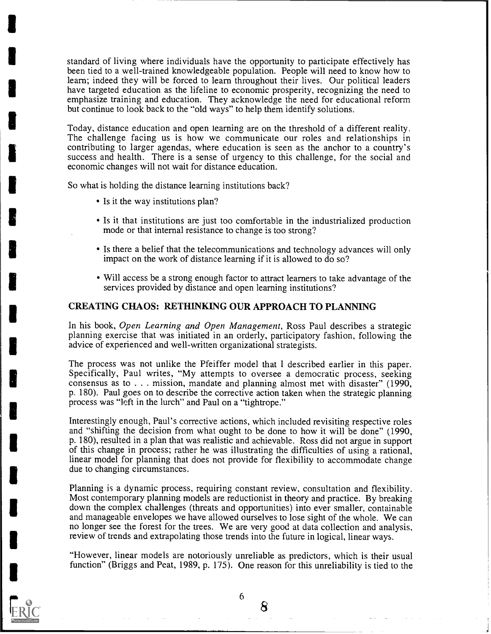standard of living where individuals have the opportunity to participate effectively has been tied to a well-trained knowledgeable population. People will need to know how to learn; indeed they will be forced to learn throughout their lives. Our political leaders have targeted education as the lifeline to economic prosperity, recognizing the need to emphasize training and education. They acknowledge the need for educational reform but continue to look back to the "old ways" to help them identify solutions.

Today, distance education and open learning are on the threshold of a different reality. The challenge facing us is how we communicate our roles and relationships in contributing to larger agendas, where education is seen as the anchor to a country's success and health. There is a sense of urgency to this challenge, for the social and economic changes will not wait for distance education.

So what is holding the distance learning institutions back?

- Is it the way institutions plan?
- Is it that institutions are just too comfortable in the industrialized production mode or that internal resistance to change is too strong?
- Is there a belief that the telecommunications and technology advances will only impact on the work of distance learning if it is allowed to do so?
- Will access be a strong enough factor to attract learners to take advantage of the services provided by distance and open learning institutions?

# CREATING CHAOS: RETHINKING OUR APPROACH TO PLANNING

In his book, Open Learning and Open Management, Ross Paul describes a strategic planning exercise that was initiated in an orderly, participatory fashion, following the advice of experienced and well-written organizational strategists.

The process was not unlike the Pfeiffer model that I described earlier in this paper. Specifically, Paul writes, "My attempts to oversee a democratic process, seeking consensus as to  $\ldots$  mission, mandate and planning almost met with disaster" (1990, p. 180). Paul goes on to describe the corrective action taken when the strategic planning process was "left in the lurch" and Paul on a "tightrope."

Interestingly enough, Paul's corrective actions, which included revisiting respective roles and "shifting the decision from what ought to be done to how it will be done" (1990, p. 180), resulted in a plan that was realistic and achievable. Ross did not argue in support of this change in process; rather he was illustrating the difficulties of using a rational, linear model for planning that does not provide for flexibility to accommodate change due to changing circumstances.

Planning is a dynamic process, requiring constant review, consultation and flexibility. Most contemporary planning models are reductionist in theory and practice. By breaking down the complex challenges (threats and opportunities) into ever smaller, containable and manageable envelopes we have allowed ourselves to lose sight of the whole. We can no longer see the forest for the trees. We are very good at data collection and analysis, review of trends and extrapolating those trends into the future in logical, linear ways.

"However, linear models are notoriously unreliable as predictors, which is their usual function" (Briggs and Peat, 1989, p. 175). One reason for this unreliability is tied to the

6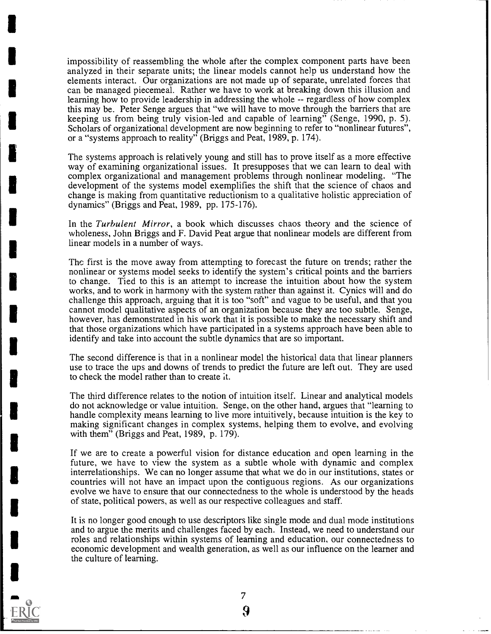impossibility of reassembling the whole after the complex component parts have been analyzed in their separate units; the linear models cannot help us understand how the elements interact. Our organizations are not made up of separate, unrelated forces that can be managed piecemeal. Rather we have to work at breaking down this illusion and learning how to provide leadership in addressing the whole -- regardless of how complex this may be. Peter Senge argues that "we will have to move through the barriers that are keeping us from being truly vision-led and capable of learning" (Senge, 1990, p. 5). Scholars of organizational development are now beginning to refer to "nonlinear futures", or a "systems approach to reality" (Briggs and Peat, 1989, p. 174).

The systems approach is relatively young and still has to prove itself as a more effective way of examining organizational issues. It presupposes that we can learn to deal with complex organizational and management problems through nonlinear modeling. "The development of the systems model exemplifies the shift that the science of chaos and change is making from quantitative reductionism to a qualitative holistic appreciation of dynamics" (Briggs and Peat, 1989, pp. 175-176).

In the Turbulent Mirror, a book which discusses chaos theory and the science of wholeness, John Briggs and F. David Peat argue that nonlinear models are different from linear models in a number of ways.

The first is the move away from attempting to forecast the future on trends; rather the nonlinear or systems model seeks to identify the system's critical points and the barriers to change. Tied to this is an attempt to increase the intuition about how the system works, and to work in harmony with the system rather than against it. Cynics will and do challenge this approach, arguing that it is too "soft" and vague to be useful, and that you cannot model qualitative aspects of an organization because they are too subtle. Senge, however, has demonstrated in his work that it is possible to make the necessary shift and that those organizations which have participated in a systems approach have been able to identify and take into account the subtle dynamics that are so important.

The second difference is that in a nonlinear model the historical data that linear planners use to trace the ups and downs of trends to predict the future are left out. They are used to check the model rather than to create it.

The third difference relates to the notion of intuition itself. Linear and analytical models do not acknowledge or value intuition. Senge, on the other hand, argues that "learning to handle complexity means learning to live more intuitively, because intuition is the key to making significant changes in complex systems, helping them to evolve, and evolving with them" (Briggs and Peat, 1989, p. 179).

If we are to create a powerful vision for distance education and open learning in the future, we have to view the system as a subtle whole with dynamic and complex interrelationships. We can no longer assume that what we do in our institutions, states or countries will not have an impact upon the contiguous regions. As our organizations evolve we have to ensure that our connectedness to the whole is understood by the heads of state, political powers, as well as our respective colleagues and staff.

It is no longer good enough to use descriptors like single mode and dual mode institutions and to argue the merits and challenges faced by each. Instead, we need to understand our roles and relationships within systems of learning and education, our connectedness to economic development and wealth generation, as well as our influence on the learner and the culture of learning.



7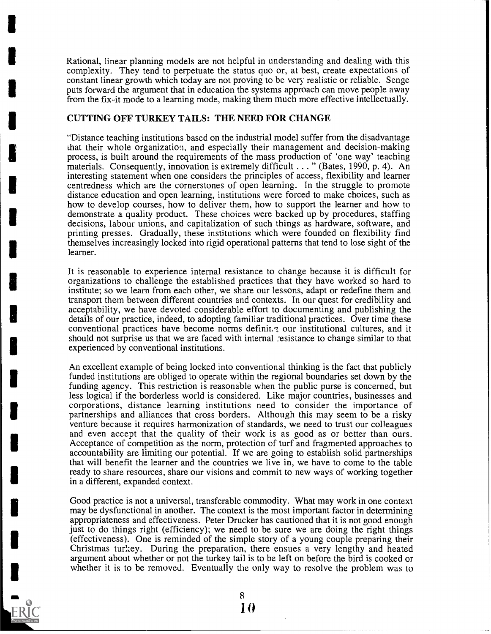Rational, linear planning models are not helpful in understanding and dealing with this complexity. They tend to perpetuate the status quo or, at best, create expectations of constant linear growth which today are not proving to be very realistic or reliable. Senge puts forward the argument that in education the systems approach can move people away from the fix-it mode to a learning mode, making them much more effective intellectually.

# CUTTING OFF TURKEY TAILS: THE NEED FOR CHANGE

'Distance teaching institutions based on the industrial model suffer from the disadvantage that their whole organization, and especially their management and decision-making process, is built around the requirements of the mass production of 'one way' teaching materials. Consequently, innovation is extremely difficult . . . " (Bates, 1990, p. 4). An interesting statement when one considers the principles of access, flexibility and learner centredness which are the cornerstones of open learning. In the struggle to promote distance education and open learning, institutions were forced to make choices, such as how to develop courses, how to deliver them, how to support the learner and how to demonstrate a quality product. These choices were backed up by procedures, staffing decisions, labour unions, and capitalization of such things as hardware, software, and printing presses. Gradually, these institutions which were founded on flexibility find themselves increasingly locked into rigid operational patterns that tend to lose sight of the learner.

It is reasonable to experience internal resistance to change because it is difficult for organizations to challenge the established practices that they have worked so hard to institute; so we learn from each other, we share our lessons, adapt or redefine them and transport them between different countries and contexts. In our quest for credibility and acceptability, we have devoted considerable effort to documenting and publishing the details of our practice, indeed, to adopting familiar traditional practices. Over time these conventional practices have become norms definities, our institutional cultures, and it should not surprise us that we are faced with internal :esistance to change similar to that experienced by conventional institutions.

An excellent example of being locked into conventional thinking is the fact that publicly funded institutions are obliged to operate within the regional boundaries set down by the funding agency. This restriction is reasonable when the public purse is concerned, but less logical if the borderless world is considered. Like major countries, businesses and corporations, distance learning institutions need to consider the importance of partnerships and alliances that cross borders. Although this may seem to be a risky venture because it requires harmonization of standards, we need to trust our colleagues and even accept that the quality of their work is as good as or better than ours. Acceptance of competition as the norm, protection of turf and fragmented approaches to accountability are limiting our potential. If we are going to establish solid partnerships that will benefit the learner and the countries we live in, we have to come to the table ready to share resources, share our visions and commit to new ways of working together in a different, expanded context.

Good practice is not a universal, transferable commodity. What may work in one context may be dysfunctional in another. The context is the most important factor in determining appropriateness and effectiveness. Peter Drucker has cautioned that it is not good enough just to do things right (efficiency); we need to be sure we are doing the right things (effectiveness). One is reminded of the simple story of a young couple preparing their Christmas turkey. During the preparation, there ensues a very lengthy and heated argument about whether or not the turkey tail is to be left on before the bird is cooked or whether it is to be removed. Eventually the only way to resolve the problem was to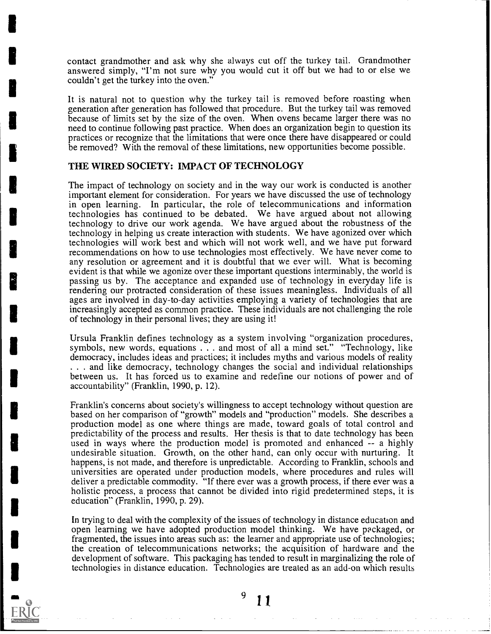contact grandmother and ask why she always cut off the turkey tail. Grandmother answered simply, "I'm not sure why you would cut it off but we had to or else we couldn't get the turkey into the oven."

It is natural not to question why the turkey tail is removed before roasting when generation after generation has followed that procedure. But the turkey tail was removed because of limits set by the size of the oven. When ovens became larger there was no need to continue following past practice. When does an organization begin to question its practices or recognize that the limitations that were once there have disappeared or could be removed? With the removal of these limitations, new opportunities become possible.

#### THE WIRED SOCIETY: IMPACT OF TECHNOLOGY

The impact of technology on society and in the way our work is conducted is another important element for consideration. For years we have discussed the use of technology in open learning. In particular, the role of telecommunications and information technologies has continued to be debated. We have argued about not allowing technology to drive our work agenda. We have argued about the robustness of the technology in helping us create interaction with students. We have agonized over which technologies will work best and which will not work well, and we have put forward recommendations on how to use technologies most effectively. We have never come to any resolution or agreement and it is doubtful that we ever will. What is becoming evident is that while we agonize over these important questions interminably, the world is passing us by. The acceptance and expanded use of technology in everyday life is rendering our protracted consideration of these issues meaningless. Individuals of all ages are involved in day-to-day activities employing a variety of technologies that are increasingly accepted as common practice. These individuals are not challenging the role of technology in their personal lives; they are using it!

Ursula Franklin defines technology as a system involving "organization procedures, symbols, new words, equations . . . and most of all a mind set." "Technology, like democracy, includes ideas and practices; it includes myths and various models of reality . . . and like democracy, technology changes the social and individual relationships between us. It has forced us to examine and redefine our notions of power and of accountability" (Franklin, 1990, p. 12).

Franklin's concerns about society's willingness to accept technology without question are based on her comparison of "growth" models and "production" models. She describes a production model as one where things are made, toward goals of total control and predictability of the process and results. Her thesis is that to date technology has been used in ways where the production model is promoted and enhanced -- a highly undesirable situation. Growth, on the other hand, can only occur with nurturing. It happens, is not made, and therefore is unpredictable. According to Franklin, schools and universities are operated under production models, where procedures and rules will deliver a predictable commodity. "If there ever was a growth process, if there ever was a holistic process, a process that cannot be divided into rigid predetermined steps, it is education" (Franklin, 1990, p. 29).

In trying to deal with the complexity of the issues of technology in distance education and open learning we have adopted production model thinking. We have packaged, or fragmented, the issues into areas such as: the learner and appropriate use of technologies; the creation of telecommunications networks; the acquisition of hardware and the development of software. This packaging has tended to result in marginalizing the role of technologies in distance education. Technologies are treated as an add-on which results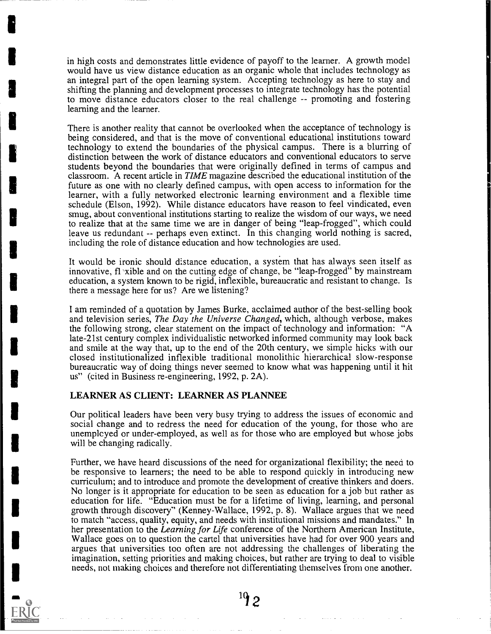in high costs and demonstrates little evidence of payoff to the learner. A growth model would have us view distance education as an organic whole that includes technology as an integral part of the open learning system. Accepting technology as here to stay and shifting the planning and development processes to integrate technology has the potential to move distance educators closer to the real challenge -- promoting and fostering learning and the learner.

There is another reality that cannot be overlooked when the acceptance of technology is being considered, and that is the move of conventional educational institutions toward technology to extend the boundaries of the physical campus. There is a blurring of distinction between the work of distance educators and conventional educators to serve students beyond the boundaries that were originally defined in terms of campus and classroom. A recent article in TIME magazine described the educational institution of the future as one with no clearly defined campus, with open access to information for the learner, with a fully networked electronic learning environment and a flexible time schedule (Elson, 1992). While distance educators have reason to feel vindicated, even smug, about conventional institutions starting to realize the wisdom of our ways, we need to realize that at the same time we are in danger of being "leap-frogged", which could leave us redundant -- perhaps even extinct. In this changing world nothing is sacred, including the role of distance education and how technologies are used.

It would be ironic should distance education, a system that has always seen itself as innovative,  $f(x)$  is xible and on the cutting edge of change, be "leap-frogged" by mainstream education, a system known to be rigid, inflexible, bureaucratic and resistant to change. Is there a message here for us? Are we listening?

I am reminded of a quotation by James Burke, acclaimed author of the best-selling book and television series, The Day the Universe Changed, which, although verbose, makes the following strong, clear statement on the impact of technology and information: "A late-21st century complex individualistic networked informed community may look back and smile at the way that, up to the end of the 20th century, we simple hicks with our closed institutionalized inflexible traditional monolithic hierarchical slow-response bureaucratic way of doing things never seemed to know what was happening until it hit us" (cited in Business re-engineering, 1992, p. 2A).

#### LEARNER AS CLIENT: LEARNER AS PLANNEE

Our political leaders have been very busy trying to address the issues of economic and social change and to redress the need for education of the young, for those who are unemployed or under-employed, as well as for those who are employed but whose jobs will be changing radically.

Further, we have heard discussions of the need for organizational flexibility; the need to be responsive to learners; the need to be able to respond quickly in introducing new curriculum; and to introduce and promote the development of creative thinkers and doers. No longer is it appropriate for education to be seen as education for a job but rather as education for life. "Education must be for a lifetime of living, learning, and personal growth through discovery" (Kenney-Wallace, 1992, p. 8). Wallace argues that we need to match "access, quality, equity, and needs with institutional missions and mandates." In her presentation to the Learning for Life conference of the Northern American Institute, Wallace goes on to question the cartel that universities have had for over 900 years and argues that universities too often are not addressing the challenges of liberating the imagination, setting priorities and making choices, but rather are trying to deal to visible needs, not making choices and therefore not differentiating themselves from one another.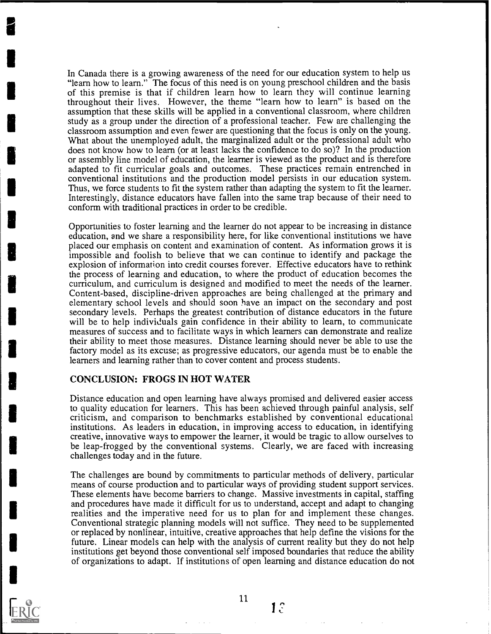In Canada there is a growing awareness of the need for our education system to help us "learn how to learn." The focus of this need is on young preschool children and the basis of this premise is that if children learn how to learn they will continue learning throughout their lives. However, the theme "learn how to learn" is based on the assumption that these skills will be applied in a conventional classroom, where children study as a group under the direction of a professional teacher. Few are challenging the classroom assumption and even fewer are questioning that the focus is only on the young. What about the unemployed adult, the marginalized adult or the professional adult who does not know how to learn (or at least lacks the confidence to do so)? In the production or assembly line model of education, the learner is viewed as the product and is therefore adapted to fit curricular goals and outcomes. These practices remain entrenched in conventional institutions and the production model persists in our education system. Thus, we force students to fit the system rather than adapting the system to fit the learner. Interestingly, distance educators have fallen into the same trap because of their need to conform with traditional practices in order to be credible.

Opportunities to foster learning and the learner do not appear to be increasing in distance education, and we share a responsibility here, for like conventional institutions we have placed our emphasis on content and examination of content. As information grows it is impossible and foolish to believe that we can continue to identify and package the explosion of information into credit courses forever. Effective educators have to rethink the process of learning and education, to where the product of education becomes the curriculum, and curriculum is designed and modified to meet the needs of the learner. Content-based, discipline-driven approaches are being challenged at the primary and elementary school levels and should soon have an impact on the secondary and post secondary levels. Perhaps the greatest contribution of distance educators in the future will be to help individuals gain confidence in their ability to learn, to communicate measures of success and to facilitate ways in which learners can demonstrate and realize their ability to meet those measures. Distance learning should never be able to use the factory model as its excuse; as progressive educators, our agenda must be to enable the learners and learning rather than to cover content and process students.

#### CONCLUSION: FROGS IN HOT WATER

Distance education and open learning have always promised and delivered easier access to quality education for learners. This has been achieved through painful analysis, self criticism, and comparison to benchmarks established by conventional educational institutions. As leaders in education, in improving access to education, in identifying creative, innovative ways to empower the learner, it would be tragic to allow ourselves to be leap-frogged by the conventional systems. Clearly, we are faced with increasing challenges today and in the future.

The challenges are bound by commitments to particular methods of delivery, particular means of course production and to particular ways of providing student support services. These elements have become barriers to change. Massive investments in capital, staffing and procedures have made it difficult for us to understand, accept and adapt to changing realities and the imperative need for us to plan for and implement these changes. Conventional strategic planning models will not suffice. They need to be supplemented or replaced by nonlinear, intuitive, creative approaches that help define the visions for the future. Linear models can help with the analysis of current reality but they do not help institutions get beyond those conventional self imposed boundaries that reduce the ability of organizations to adapt. If institutions of open learning and distance education do not



11

 $1<sup>°</sup>$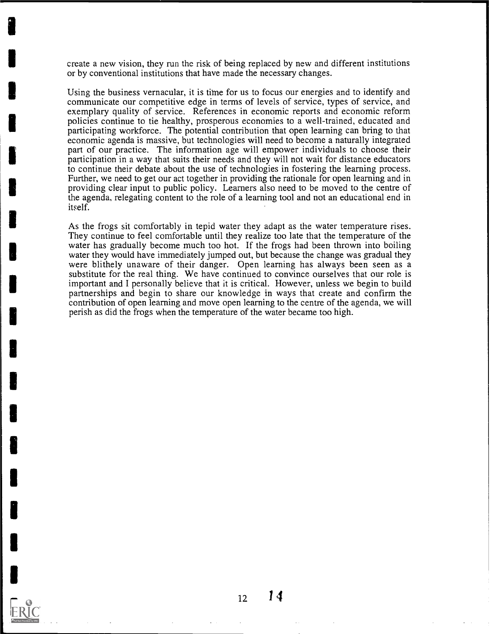create a new vision, they run the risk of being replaced by new and different institutions or by conventional institutions that have made the necessary changes.

Using the business vernacular, it is time for us to focus our energies and to identify and communicate our competitive edge in terms of levels of service, types of service, and exemplary quality of service. References in economic reports and economic reform policies continue to tie healthy, prosperous economies to a well-trained, educated and participating workforce. The potential contribution that open learning can bring to that economic agenda is massive, but technologies will need to become a naturally integrated part of our practice. The information age will empower individuals to choose their participation in a way that suits their needs and they will not wait for distance educators to continue their debate about the use of technologies in fostering the learning process. Further, we need to get our act together in providing the rationale for open learning and in providing clear input to public policy. Learners also need to be moved to the centre of the agenda, relegating content to the role of a learning tool and not an educational end in itself.

As the frogs sit comfortably in tepid water they adapt as the water temperature rises. They continue to feel comfortable until they realize too late that the temperature of the water has gradually become much too hot. If the frogs had been thrown into boiling water they would have immediately jumped out, but because the change was gradual they were blithely unaware of their danger. Open learning has always been seen as a substitute for the real thing. We have continued to convince ourselves that our role is important and I personally believe that it is critical. However, unless we begin to build partnerships and begin to share our knowledge in ways that create and confirm the contribution of open learning and move open learning to the centre of the agenda, we will perish as did the frogs when the temperature of the water became too high.

 $12 \t14$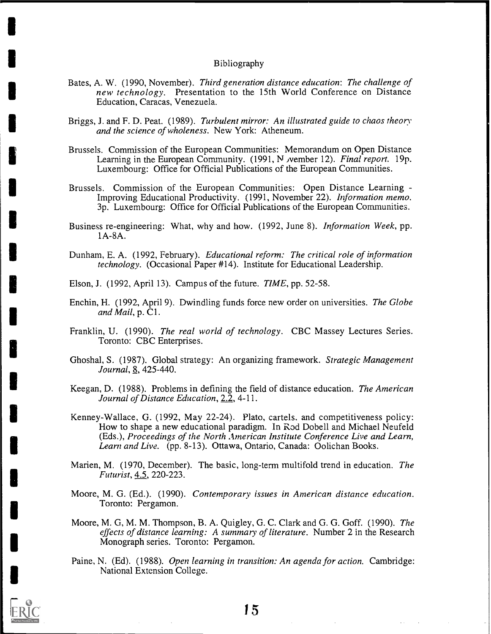#### Bibliography

- Bates, A. W. (1990, November). Third generation distance education: The challenge of new technology. Presentation to the 15th World Conference on Distance Education, Caracas, Venezuela.
- Briggs, J. and F. D. Peat. (1989). Turbulent mirror: An illustrated guide to chaos theory and the science of wholeness. New York: Atheneum.
- Brussels. Commission of the European Communities: Memorandum on Open Distance Learning in the European Community.  $(1991, N$  vember 12). Final report. 19p. Luxembourg: Office for Official Publications of the European Communities.
- Brussels. Commission of the European Communities: Open Distance Learning Improving Educational Productivity. (1991, November 22). Information memo. 3p. Luxembourg: Office for Official Publications of the European Communities.
- Business re-engineering: What, why and how. (1992, June 8). Information Week, pp. 1A-8A.
- Dunham, E. A. (1992, February). Educational reform: The critical role of information technology. (Occasional Paper #14). Institute for Educational Leadership.

Elson, J. (1992, April 13). Campus of the future. TIME, pp. 52-58.

- Enchin, H. (1992, April 9). Dwindling funds force new order on universities. The Globe and Mail,  $p. \dot{C}1$ .
- Franklin, U. (1990). The real world of technology. CBC Massey Lectures Series. Toronto: CBC Enterprises.
- Ghoshal, S. (1987). Global strategy: An organizing framework. Strategic Management Journal, 8, 425-440.
- Keegan, D. (1988). Problems in defining the field of distance education. The American Journal of Distance Education, 2.2, 4-11.
- Kenney-Wallace, G. (1992, May 22-24). Plato, cartels. and competitiveness policy: How to shape a new educational paradigm. In Rod Dobell and Michael Neufeld (Eds.), Proceedings of the North American Institute Conference Live and Learn, Learn and Live. (pp. 8-13). Ottawa, Ontario, Canada: Oolichan Books.
- Marien, M. (1970, December). The basic, long-term multifold trend in education. The Futurist, 4.5, 220-223.
- Moore, M. G. (Ed.). (1990). Contemporary issues in American distance education. Toronto: Pergamon.
- Moore, M. G, M. M. Thompson, B. A. Quigley, G. C. Clark and G. G. Goff. (1990). The effects of distance learning: A summary of literature. Number 2 in the Research Monograph series. Toronto: Pergamon.
- Paine, N. (Ed). (1988). Open learning in transition: An agenda for action. Cambridge: National Extension College.